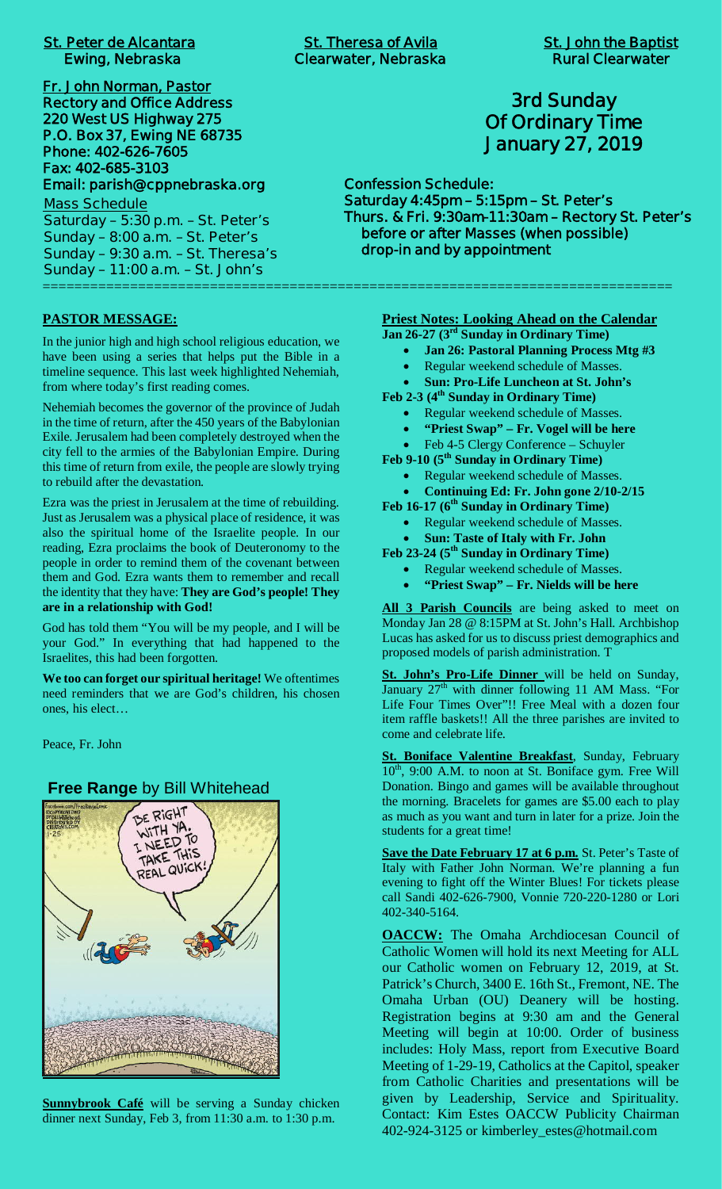|  | <b>St. Peter de Alcantara</b> |
|--|-------------------------------|
|  | <b>Ewing, Nebraska</b>        |

**Fr. John Norman, Pastor Rectory and Office Address 220 West US Highway 275 P.O. Box 37, Ewing NE 68735 Phone: 402-626-7605 Fax: 402-685-3103 Email: parish@cppnebraska.org Mass Schedule**

**Saturday – 5:30 p.m. – St. Peter's Sunday – 8:00 a.m. – St. Peter's Sunday – 9:30 a.m. – St. Theresa's Sunday – 11:00 a.m. – St. John's** ===============================================================================

**PASTOR MESSAGE:**

In the junior high and high school religious education, we have been using a series that helps put the Bible in a timeline sequence. This last week highlighted Nehemiah, from where today's first reading comes.

Nehemiah becomes the governor of the province of Judah in the time of return, after the 450 years of the Babylonian Exile. Jerusalem had been completely destroyed when the city fell to the armies of the Babylonian Empire. During this time of return from exile, the people are slowly trying to rebuild after the devastation.

Ezra was the priest in Jerusalem at the time of rebuilding. Just as Jerusalem was a physical place of residence, it was also the spiritual home of the Israelite people. In our reading, Ezra proclaims the book of Deuteronomy to the people in order to remind them of the covenant between them and God. Ezra wants them to remember and recall the identity that they have: **They are God's people! They are in a relationship with God!**

God has told them "You will be my people, and I will be your God." In everything that had happened to the Israelites, this had been forgotten.

**We too can forget our spiritual heritage!** We oftentimes need reminders that we are God's children, his chosen ones, his elect…

Peace, Fr. John

#### **Free Range** by Bill Whitehead



**Sunnybrook Café** will be serving a Sunday chicken dinner next Sunday, Feb 3, from 11:30 a.m. to 1:30 p.m.

 **Clearwater, Nebraska Rural Clearwater** 

# **3rd Sunday Of Ordinary Time January 27, 2019**

**Confession Schedule: Saturday 4:45pm – 5:15pm – St. Peter's Thurs. & Fri. 9:30am-11:30am – Rectory St. Peter's before or after Masses (when possible) drop-in and by appointment**

**Priest Notes: Looking Ahead on the Calendar**

- **Jan 26-27 (3rd Sunday in Ordinary Time)**
	- · **Jan 26: Pastoral Planning Process Mtg #3**
	- Regular weekend schedule of Masses. · **Sun: Pro-Life Luncheon at St. John's**

**Feb 2-3 (4th Sunday in Ordinary Time)**

- Regular weekend schedule of Masses.
- · **"Priest Swap" Fr. Vogel will be here**
- Feb 4-5 Clergy Conference Schuyler

**Feb 9-10 (5th Sunday in Ordinary Time)**

- · Regular weekend schedule of Masses.
- · **Continuing Ed: Fr. John gone 2/10-2/15**
- **Feb 16-17 (6th Sunday in Ordinary Time)**
	- Regular weekend schedule of Masses.
	- · **Sun: Taste of Italy with Fr. John**

**Feb 23-24 (5th Sunday in Ordinary Time)**

- Regular weekend schedule of Masses.
	- · **"Priest Swap" Fr. Nields will be here**

**All 3 Parish Councils** are being asked to meet on Monday Jan 28 @ 8:15PM at St. John's Hall. Archbishop Lucas has asked for us to discuss priest demographics and proposed models of parish administration. T

**St. John's Pro-Life Dinner** will be held on Sunday, January  $27<sup>th</sup>$  with dinner following 11 AM Mass. "For Life Four Times Over"!! Free Meal with a dozen four item raffle baskets!! All the three parishes are invited to come and celebrate life.

**St. Boniface Valentine Breakfast**, Sunday, February 10<sup>th</sup>, 9:00 A.M. to noon at St. Boniface gym. Free Will Donation. Bingo and games will be available throughout the morning. Bracelets for games are \$5.00 each to play as much as you want and turn in later for a prize. Join the students for a great time!

**Save the Date February 17 at 6 p.m.** St. Peter's Taste of Italy with Father John Norman. We're planning a fun evening to fight off the Winter Blues! For tickets please call Sandi 402-626-7900, Vonnie 720-220-1280 or Lori 402-340-5164.

**OACCW:** The Omaha Archdiocesan Council of Catholic Women will hold its next Meeting for ALL our Catholic women on February 12, 2019, at St. Patrick's Church, 3400 E. 16th St., Fremont, NE. The Omaha Urban (OU) Deanery will be hosting. Registration begins at 9:30 am and the General Meeting will begin at 10:00. Order of business includes: Holy Mass, report from Executive Board Meeting of 1-29-19, Catholics at the Capitol, speaker from Catholic Charities and presentations will be given by Leadership, Service and Spirituality. Contact: Kim Estes OACCW Publicity Chairman 402-924-3125 or kimberley\_estes@hotmail.com